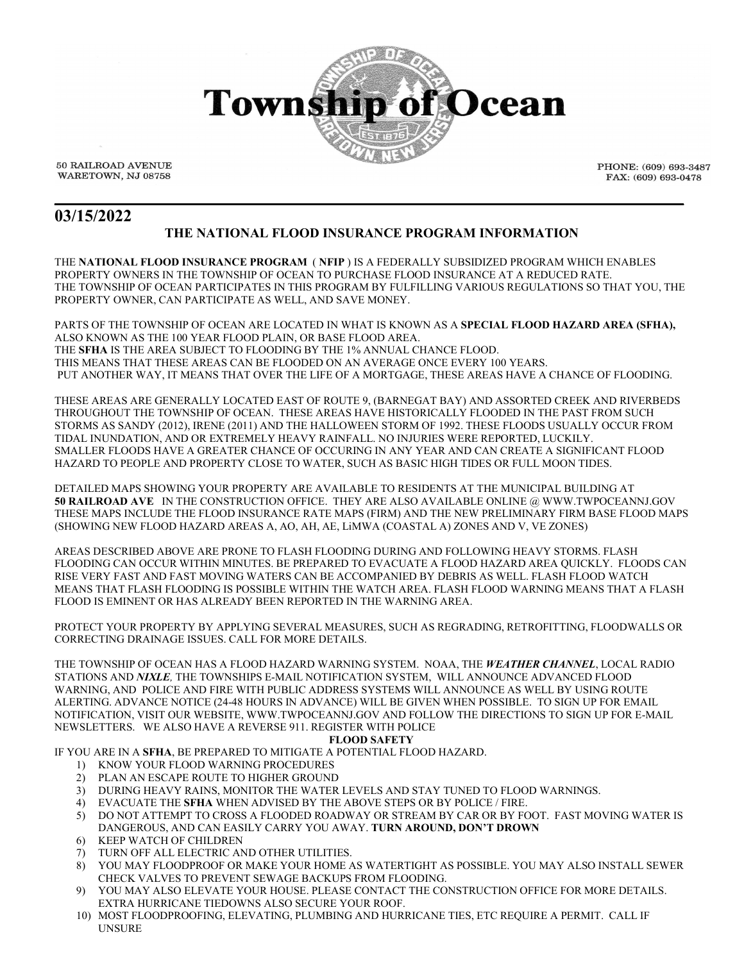

50 RAILROAD AVENUE WARETOWN, NJ 08758 PHONE: (609) 693-3487 FAX: (609) 693-0478

# **03/15/2022**

# **THE NATIONAL FLOOD INSURANCE PROGRAM INFORMATION**

**\_\_\_\_\_\_\_\_\_\_\_\_\_\_\_\_\_\_\_\_\_\_\_\_\_\_\_\_\_\_\_\_\_\_\_\_\_\_\_\_\_\_\_\_\_\_\_\_\_\_\_\_\_\_\_\_\_\_\_\_\_\_\_\_\_\_\_\_\_\_\_\_\_\_**

THE **NATIONAL FLOOD INSURANCE PROGRAM** ( **NFIP** ) IS A FEDERALLY SUBSIDIZED PROGRAM WHICH ENABLES PROPERTY OWNERS IN THE TOWNSHIP OF OCEAN TO PURCHASE FLOOD INSURANCE AT A REDUCED RATE. THE TOWNSHIP OF OCEAN PARTICIPATES IN THIS PROGRAM BY FULFILLING VARIOUS REGULATIONS SO THAT YOU, THE PROPERTY OWNER, CAN PARTICIPATE AS WELL, AND SAVE MONEY.

PARTS OF THE TOWNSHIP OF OCEAN ARE LOCATED IN WHAT IS KNOWN AS A **SPECIAL FLOOD HAZARD AREA (SFHA),** ALSO KNOWN AS THE 100 YEAR FLOOD PLAIN, OR BASE FLOOD AREA. THE **SFHA** IS THE AREA SUBJECT TO FLOODING BY THE 1% ANNUAL CHANCE FLOOD. THIS MEANS THAT THESE AREAS CAN BE FLOODED ON AN AVERAGE ONCE EVERY 100 YEARS. PUT ANOTHER WAY, IT MEANS THAT OVER THE LIFE OF A MORTGAGE, THESE AREAS HAVE A CHANCE OF FLOODING.

THESE AREAS ARE GENERALLY LOCATED EAST OF ROUTE 9, (BARNEGAT BAY) AND ASSORTED CREEK AND RIVERBEDS THROUGHOUT THE TOWNSHIP OF OCEAN. THESE AREAS HAVE HISTORICALLY FLOODED IN THE PAST FROM SUCH STORMS AS SANDY (2012), IRENE (2011) AND THE HALLOWEEN STORM OF 1992. THESE FLOODS USUALLY OCCUR FROM TIDAL INUNDATION, AND OR EXTREMELY HEAVY RAINFALL. NO INJURIES WERE REPORTED, LUCKILY. SMALLER FLOODS HAVE A GREATER CHANCE OF OCCURING IN ANY YEAR AND CAN CREATE A SIGNIFICANT FLOOD HAZARD TO PEOPLE AND PROPERTY CLOSE TO WATER, SUCH AS BASIC HIGH TIDES OR FULL MOON TIDES.

DETAILED MAPS SHOWING YOUR PROPERTY ARE AVAILABLE TO RESIDENTS AT THE MUNICIPAL BUILDING AT **50 RAILROAD AVE** IN THE CONSTRUCTION OFFICE. THEY ARE ALSO AVAILABLE ONLINE @ WWW.TWPOCEANNJ.GOV THESE MAPS INCLUDE THE FLOOD INSURANCE RATE MAPS (FIRM) AND THE NEW PRELIMINARY FIRM BASE FLOOD MAPS (SHOWING NEW FLOOD HAZARD AREAS A, AO, AH, AE, LiMWA (COASTAL A) ZONES AND V, VE ZONES)

AREAS DESCRIBED ABOVE ARE PRONE TO FLASH FLOODING DURING AND FOLLOWING HEAVY STORMS. FLASH FLOODING CAN OCCUR WITHIN MINUTES. BE PREPARED TO EVACUATE A FLOOD HAZARD AREA QUICKLY. FLOODS CAN RISE VERY FAST AND FAST MOVING WATERS CAN BE ACCOMPANIED BY DEBRIS AS WELL. FLASH FLOOD WATCH MEANS THAT FLASH FLOODING IS POSSIBLE WITHIN THE WATCH AREA. FLASH FLOOD WARNING MEANS THAT A FLASH FLOOD IS EMINENT OR HAS ALREADY BEEN REPORTED IN THE WARNING AREA.

PROTECT YOUR PROPERTY BY APPLYING SEVERAL MEASURES, SUCH AS REGRADING, RETROFITTING, FLOODWALLS OR CORRECTING DRAINAGE ISSUES. CALL FOR MORE DETAILS.

THE TOWNSHIP OF OCEAN HAS A FLOOD HAZARD WARNING SYSTEM. NOAA, THE *WEATHER CHANNEL*, LOCAL RADIO STATIONS AND *NIXLE,* THE TOWNSHIPS E-MAIL NOTIFICATION SYSTEM, WILL ANNOUNCE ADVANCED FLOOD WARNING, AND POLICE AND FIRE WITH PUBLIC ADDRESS SYSTEMS WILL ANNOUNCE AS WELL BY USING ROUTE ALERTING. ADVANCE NOTICE (24-48 HOURS IN ADVANCE) WILL BE GIVEN WHEN POSSIBLE. TO SIGN UP FOR EMAIL NOTIFICATION, VISIT OUR WEBSITE, WWW.TWPOCEANNJ.GOV AND FOLLOW THE DIRECTIONS TO SIGN UP FOR E-MAIL NEWSLETTERS. WE ALSO HAVE A REVERSE 911. REGISTER WITH POLICE

# **FLOOD SAFETY**

IF YOU ARE IN A **SFHA**, BE PREPARED TO MITIGATE A POTENTIAL FLOOD HAZARD.

- 1) KNOW YOUR FLOOD WARNING PROCEDURES
- 2) PLAN AN ESCAPE ROUTE TO HIGHER GROUND
- 3) DURING HEAVY RAINS, MONITOR THE WATER LEVELS AND STAY TUNED TO FLOOD WARNINGS.<br>4) EVACUATE THE SFHA WHEN ADVISED BY THE ABOVE STEPS OR BY POLICE / FIRE.
- 4) EVACUATE THE **SFHA** WHEN ADVISED BY THE ABOVE STEPS OR BY POLICE / FIRE.
- 5) DO NOT ATTEMPT TO CROSS A FLOODED ROADWAY OR STREAM BY CAR OR BY FOOT. FAST MOVING WATER IS DANGEROUS, AND CAN EASILY CARRY YOU AWAY. **TURN AROUND, DON'T DROWN**
- 6) KEEP WATCH OF CHILDREN
- 7) TURN OFF ALL ELECTRIC AND OTHER UTILITIES.
- 8) YOU MAY FLOODPROOF OR MAKE YOUR HOME AS WATERTIGHT AS POSSIBLE. YOU MAY ALSO INSTALL SEWER CHECK VALVES TO PREVENT SEWAGE BACKUPS FROM FLOODING.
- 9) YOU MAY ALSO ELEVATE YOUR HOUSE. PLEASE CONTACT THE CONSTRUCTION OFFICE FOR MORE DETAILS. EXTRA HURRICANE TIEDOWNS ALSO SECURE YOUR ROOF.
- 10) MOST FLOODPROOFING, ELEVATING, PLUMBING AND HURRICANE TIES, ETC REQUIRE A PERMIT. CALL IF UNSURE